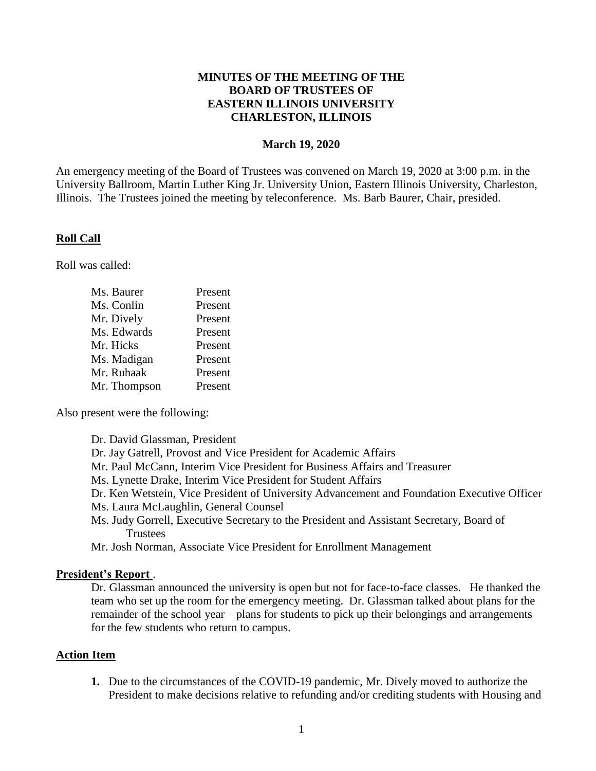## **MINUTES OF THE MEETING OF THE BOARD OF TRUSTEES OF EASTERN ILLINOIS UNIVERSITY CHARLESTON, ILLINOIS**

### **March 19, 2020**

An emergency meeting of the Board of Trustees was convened on March 19, 2020 at 3:00 p.m. in the University Ballroom, Martin Luther King Jr. University Union, Eastern Illinois University, Charleston, Illinois. The Trustees joined the meeting by teleconference. Ms. Barb Baurer, Chair, presided.

#### **Roll Call**

Roll was called:

| Ms. Baurer   | Present |
|--------------|---------|
| Ms. Conlin   | Present |
| Mr. Dively   | Present |
| Ms. Edwards  | Present |
| Mr. Hicks    | Present |
| Ms. Madigan  | Present |
| Mr. Ruhaak   | Present |
| Mr. Thompson | Present |

Also present were the following:

#### **President's Report** .

Dr. Glassman announced the university is open but not for face-to-face classes. He thanked the team who set up the room for the emergency meeting. Dr. Glassman talked about plans for the remainder of the school year – plans for students to pick up their belongings and arrangements for the few students who return to campus.

#### **Action Item**

**1.** Due to the circumstances of the COVID-19 pandemic, Mr. Dively moved to authorize the President to make decisions relative to refunding and/or crediting students with Housing and